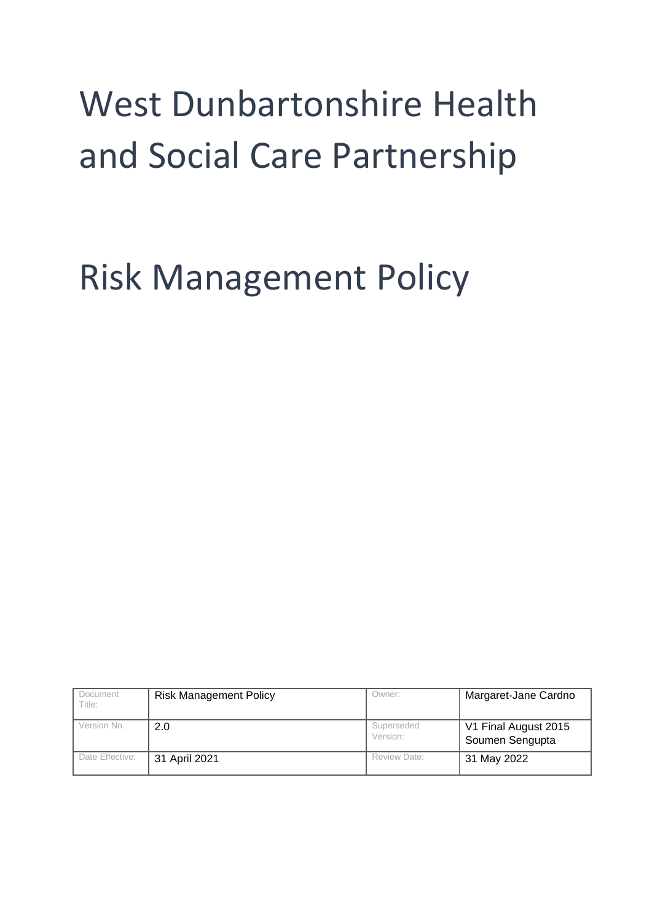# West Dunbartonshire Health and Social Care Partnership

## Risk Management Policy

| Document<br>Title: | <b>Risk Management Policy</b> | Owner:                 | Margaret-Jane Cardno                    |
|--------------------|-------------------------------|------------------------|-----------------------------------------|
| Version No.        | 2.0                           | Superseded<br>Version: | V1 Final August 2015<br>Soumen Sengupta |
| Date Effective:    | 31 April 2021                 | Review Date:           | 31 May 2022                             |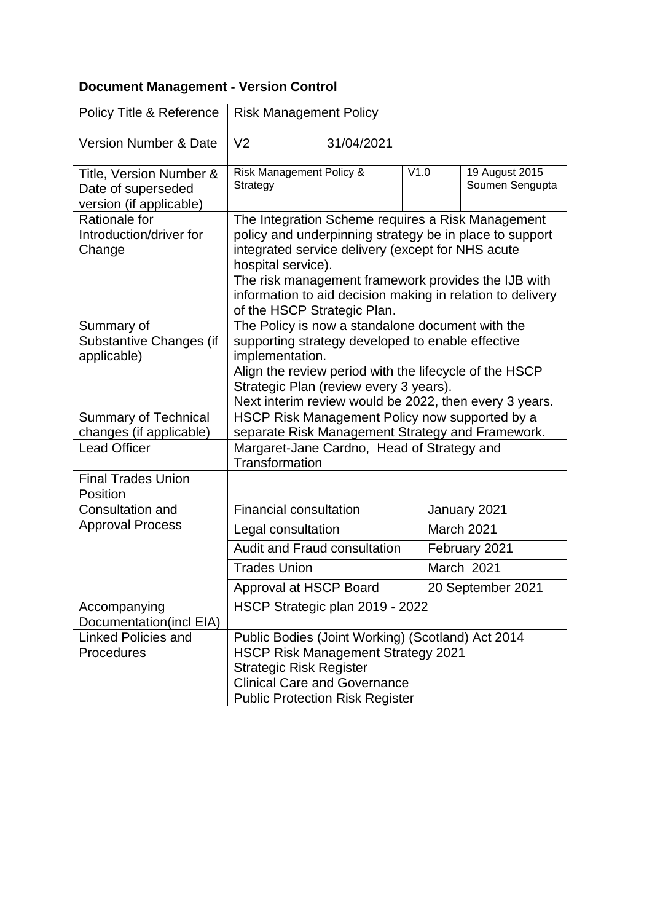### **Document Management - Version Control**

| Policy Title & Reference                                                 | <b>Risk Management Policy</b>                                                                                                                                                                                                                                                                                                               |            |              |                                   |
|--------------------------------------------------------------------------|---------------------------------------------------------------------------------------------------------------------------------------------------------------------------------------------------------------------------------------------------------------------------------------------------------------------------------------------|------------|--------------|-----------------------------------|
| <b>Version Number &amp; Date</b>                                         | V <sub>2</sub>                                                                                                                                                                                                                                                                                                                              | 31/04/2021 |              |                                   |
| Title, Version Number &<br>Date of superseded<br>version (if applicable) | Risk Management Policy &<br>Strategy                                                                                                                                                                                                                                                                                                        |            | V1.0         | 19 August 2015<br>Soumen Sengupta |
| Rationale for<br>Introduction/driver for<br>Change                       | The Integration Scheme requires a Risk Management<br>policy and underpinning strategy be in place to support<br>integrated service delivery (except for NHS acute<br>hospital service).<br>The risk management framework provides the IJB with<br>information to aid decision making in relation to delivery<br>of the HSCP Strategic Plan. |            |              |                                   |
| Summary of<br>Substantive Changes (if<br>applicable)                     | The Policy is now a standalone document with the<br>supporting strategy developed to enable effective<br>implementation.<br>Align the review period with the lifecycle of the HSCP<br>Strategic Plan (review every 3 years).<br>Next interim review would be 2022, then every 3 years.                                                      |            |              |                                   |
| <b>Summary of Technical</b><br>changes (if applicable)                   | HSCP Risk Management Policy now supported by a<br>separate Risk Management Strategy and Framework.                                                                                                                                                                                                                                          |            |              |                                   |
| <b>Lead Officer</b>                                                      | Margaret-Jane Cardno, Head of Strategy and<br>Transformation                                                                                                                                                                                                                                                                                |            |              |                                   |
| <b>Final Trades Union</b><br>Position                                    |                                                                                                                                                                                                                                                                                                                                             |            |              |                                   |
| <b>Consultation and</b>                                                  | <b>Financial consultation</b>                                                                                                                                                                                                                                                                                                               |            | January 2021 |                                   |
| <b>Approval Process</b>                                                  | Legal consultation                                                                                                                                                                                                                                                                                                                          |            |              | March 2021                        |
|                                                                          | Audit and Fraud consultation                                                                                                                                                                                                                                                                                                                |            |              | February 2021                     |
|                                                                          | <b>Trades Union</b>                                                                                                                                                                                                                                                                                                                         |            |              | March 2021                        |
|                                                                          | Approval at HSCP Board                                                                                                                                                                                                                                                                                                                      |            |              | 20 September 2021                 |
| Accompanying<br>Documentation(incl EIA)                                  | HSCP Strategic plan 2019 - 2022                                                                                                                                                                                                                                                                                                             |            |              |                                   |
| <b>Linked Policies and</b><br>Procedures                                 | Public Bodies (Joint Working) (Scotland) Act 2014<br><b>HSCP Risk Management Strategy 2021</b><br><b>Strategic Risk Register</b><br><b>Clinical Care and Governance</b><br><b>Public Protection Risk Register</b>                                                                                                                           |            |              |                                   |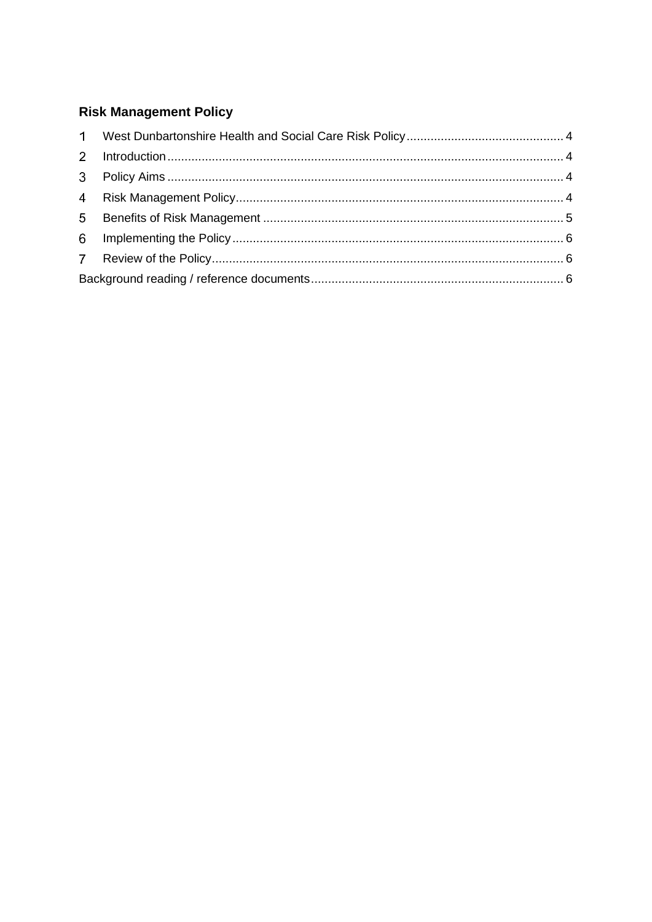## **Risk Management Policy**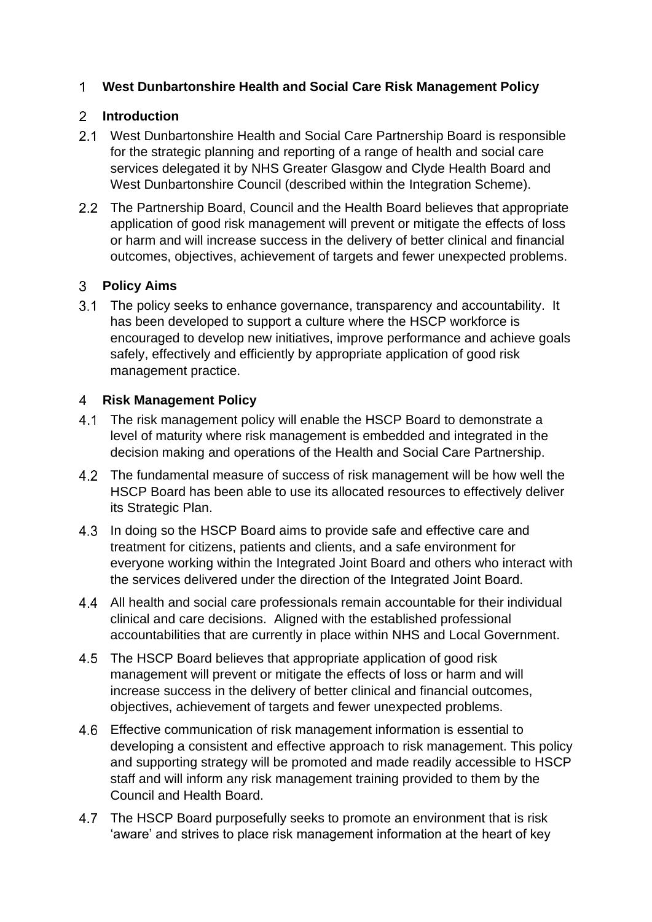#### **West Dunbartonshire Health and Social Care Risk Management Policy**

#### **Introduction**

- West Dunbartonshire Health and Social Care Partnership Board is responsible for the strategic planning and reporting of a range of health and social care services delegated it by NHS Greater Glasgow and Clyde Health Board and West Dunbartonshire Council (described within the Integration Scheme).
- 2.2 The Partnership Board, Council and the Health Board believes that appropriate application of good risk management will prevent or mitigate the effects of loss or harm and will increase success in the delivery of better clinical and financial outcomes, objectives, achievement of targets and fewer unexpected problems.

#### **Policy Aims**

3.1 The policy seeks to enhance governance, transparency and accountability. It has been developed to support a culture where the HSCP workforce is encouraged to develop new initiatives, improve performance and achieve goals safely, effectively and efficiently by appropriate application of good risk management practice.

#### **Risk Management Policy**

- 4.1 The risk management policy will enable the HSCP Board to demonstrate a level of maturity where risk management is embedded and integrated in the decision making and operations of the Health and Social Care Partnership.
- The fundamental measure of success of risk management will be how well the HSCP Board has been able to use its allocated resources to effectively deliver its Strategic Plan.
- 4.3 In doing so the HSCP Board aims to provide safe and effective care and treatment for citizens, patients and clients, and a safe environment for everyone working within the Integrated Joint Board and others who interact with the services delivered under the direction of the Integrated Joint Board.
- All health and social care professionals remain accountable for their individual clinical and care decisions. Aligned with the established professional accountabilities that are currently in place within NHS and Local Government.
- 4.5 The HSCP Board believes that appropriate application of good risk management will prevent or mitigate the effects of loss or harm and will increase success in the delivery of better clinical and financial outcomes, objectives, achievement of targets and fewer unexpected problems.
- Effective communication of risk management information is essential to developing a consistent and effective approach to risk management. This policy and supporting strategy will be promoted and made readily accessible to HSCP staff and will inform any risk management training provided to them by the Council and Health Board.
- 4.7 The HSCP Board purposefully seeks to promote an environment that is risk 'aware' and strives to place risk management information at the heart of key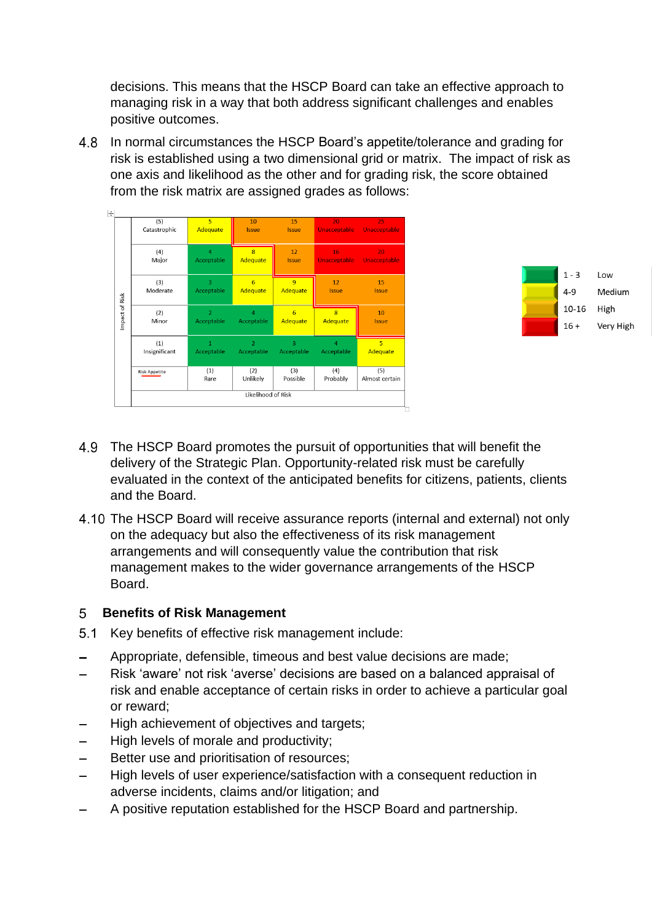decisions. This means that the HSCP Board can take an effective approach to managing risk in a way that both address significant challenges and enables positive outcomes.

4.8 In normal circumstances the HSCP Board's appetite/tolerance and grading for risk is established using a two dimensional grid or matrix. The impact of risk as one axis and likelihood as the other and for grading risk, the score obtained from the risk matrix are assigned grades as follows:

| ╄                |                      |                              |                                   |                              |                                     |                            |
|------------------|----------------------|------------------------------|-----------------------------------|------------------------------|-------------------------------------|----------------------------|
|                  | (5)<br>Catastrophic  | 5<br>Adequate                | 10<br><b>Issue</b>                | 15<br><b>Issue</b>           | 20<br><b>Unacceptable</b>           | 25<br><b>Unacceptable</b>  |
| Risk<br>mpact of | (4)<br>Major         | $\overline{4}$<br>Acceptable | $\overline{8}$<br><b>Adequate</b> | 12<br><b>Issue</b>           | 16<br><b>Unacceptable</b>           | 20<br><b>Unacceptable</b>  |
|                  | (3)<br>Moderate      | $\overline{3}$<br>Acceptable | 6<br>Adequate                     | 9<br>Adequate                | 12<br><b>Issue</b>                  | 15<br><b>Issue</b>         |
|                  | (2)<br>Minor         | $\overline{a}$<br>Acceptable | $\overline{4}$<br>Acceptable      | 6<br>Adequate                | $\overline{\mathbf{8}}$<br>Adequate | 10<br><b>Issue</b>         |
|                  | (1)<br>Insignificant | 1<br>Acceptable              | $\overline{2}$<br>Acceptable      | $\overline{3}$<br>Acceptable | $\overline{4}$<br>Acceptable        | $\overline{5}$<br>Adequate |
|                  | <b>Risk Appetite</b> | (1)<br>Rare                  | (2)<br>Unlikely                   | (3)<br>Possible              | (4)<br>Probably                     | (5)<br>Almost certain      |
|                  |                      |                              | Likelihood of Risk                |                              |                                     |                            |



- 4.9 The HSCP Board promotes the pursuit of opportunities that will benefit the delivery of the Strategic Plan. Opportunity-related risk must be carefully evaluated in the context of the anticipated benefits for citizens, patients, clients and the Board.
- 4.10 The HSCP Board will receive assurance reports (internal and external) not only on the adequacy but also the effectiveness of its risk management arrangements and will consequently value the contribution that risk management makes to the wider governance arrangements of the HSCP Board.

#### **Benefits of Risk Management**

- 5.1 Key benefits of effective risk management include:
- Appropriate, defensible, timeous and best value decisions are made;
- Risk 'aware' not risk 'averse' decisions are based on a balanced appraisal of  $\equiv$ risk and enable acceptance of certain risks in order to achieve a particular goal or reward;
- High achievement of objectives and targets;
- High levels of morale and productivity;
- Better use and prioritisation of resources;  $\overline{\phantom{0}}$
- High levels of user experience/satisfaction with a consequent reduction in adverse incidents, claims and/or litigation; and
- A positive reputation established for the HSCP Board and partnership.